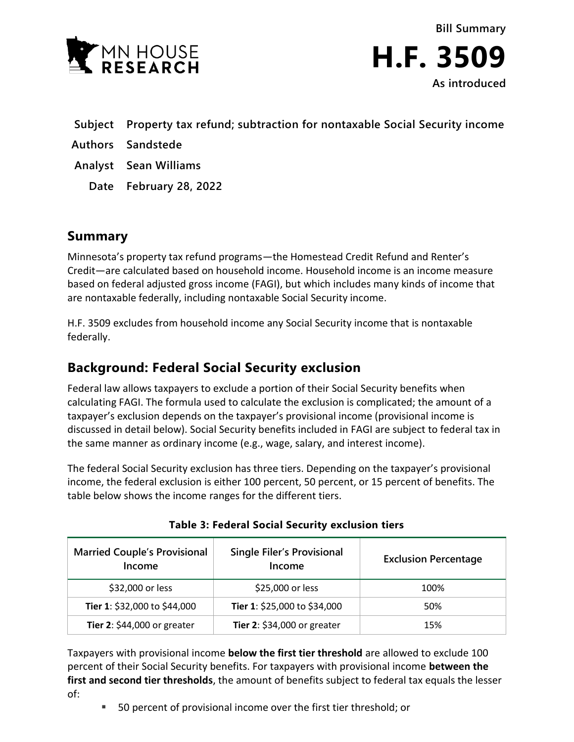

**Bill Summary H.F. 3509 As introduced**

- **Subject Property tax refund; subtraction for nontaxable Social Security income**
- **Authors Sandstede**
- **Analyst Sean Williams**
	- **Date February 28, 2022**

## **Summary**

Minnesota's property tax refund programs—the Homestead Credit Refund and Renter's Credit—are calculated based on household income. Household income is an income measure based on federal adjusted gross income (FAGI), but which includes many kinds of income that are nontaxable federally, including nontaxable Social Security income.

H.F. 3509 excludes from household income any Social Security income that is nontaxable federally.

## **Background: Federal Social Security exclusion**

Federal law allows taxpayers to exclude a portion of their Social Security benefits when calculating FAGI. The formula used to calculate the exclusion is complicated; the amount of a taxpayer's exclusion depends on the taxpayer's provisional income (provisional income is discussed in detail below). Social Security benefits included in FAGI are subject to federal tax in the same manner as ordinary income (e.g., wage, salary, and interest income).

The federal Social Security exclusion has three tiers. Depending on the taxpayer's provisional income, the federal exclusion is either 100 percent, 50 percent, or 15 percent of benefits. The table below shows the income ranges for the different tiers.

| <b>Married Couple's Provisional</b><br>Income | <b>Single Filer's Provisional</b><br>Income | <b>Exclusion Percentage</b> |
|-----------------------------------------------|---------------------------------------------|-----------------------------|
| \$32,000 or less                              | \$25,000 or less                            | 100%                        |
| Tier 1: \$32,000 to \$44,000                  | Tier 1: \$25,000 to \$34,000                | 50%                         |
| Tier 2: \$44,000 or greater                   | Tier 2: \$34,000 or greater                 | 15%                         |

Taxpayers with provisional income **below the first tier threshold** are allowed to exclude 100 percent of their Social Security benefits. For taxpayers with provisional income **between the first and second tier thresholds**, the amount of benefits subject to federal tax equals the lesser of:

■ 50 percent of provisional income over the first tier threshold; or